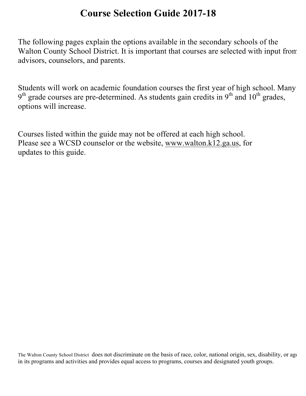# **Course Selection Guide 2017-18**

The following pages explain the options available in the secondary schools of the Walton County School District. It is important that courses are selected with input from advisors, counselors, and parents.

Students will work on academic foundation courses the first year of high school. Many  $9<sup>th</sup>$  grade courses are pre-determined. As students gain credits in  $9<sup>th</sup>$  and  $10<sup>th</sup>$  grades, options will increase.

Courses listed within the guide may not be offered at each high school. Please see a WCSD counselor or the website, www.walton.k12.ga.us, for updates to this guide.

The Walton County School District does not discriminate on the basis of race, color, national origin, sex, disability, or age in its programs and activities and provides equal access to programs, courses and designated youth groups.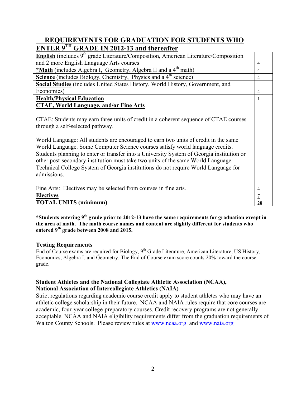# **REQUIREMENTS FOR GRADUATION FOR STUDENTS WHO ENTER 9TH GRADE IN 2012-13 and thereafter**

| <b>English</b> (includes $9th$ grade Literature/Composition, American Literature/Composition                                                                                                                                                                                                                                                                                                                                                                                                                                                                                           |                |
|----------------------------------------------------------------------------------------------------------------------------------------------------------------------------------------------------------------------------------------------------------------------------------------------------------------------------------------------------------------------------------------------------------------------------------------------------------------------------------------------------------------------------------------------------------------------------------------|----------------|
| and 2 more English Language Arts courses                                                                                                                                                                                                                                                                                                                                                                                                                                                                                                                                               | 4              |
| *Math (includes Algebra I, Geometry, Algebra II and a 4 <sup>th</sup> math)                                                                                                                                                                                                                                                                                                                                                                                                                                                                                                            | $\overline{4}$ |
| Science (includes Biology, Chemistry, Physics and a 4 <sup>th</sup> science)                                                                                                                                                                                                                                                                                                                                                                                                                                                                                                           | 4              |
| Social Studies (includes United States History, World History, Government, and                                                                                                                                                                                                                                                                                                                                                                                                                                                                                                         |                |
| Economics)                                                                                                                                                                                                                                                                                                                                                                                                                                                                                                                                                                             | 4              |
| <b>Health/Physical Education</b>                                                                                                                                                                                                                                                                                                                                                                                                                                                                                                                                                       |                |
| <b>CTAE, World Language, and/or Fine Arts</b>                                                                                                                                                                                                                                                                                                                                                                                                                                                                                                                                          |                |
| CTAE: Students may earn three units of credit in a coherent sequence of CTAE courses<br>through a self-selected pathway.<br>World Language: All students are encouraged to earn two units of credit in the same<br>World Language. Some Computer Science courses satisfy world language credits.<br>Students planning to enter or transfer into a University System of Georgia institution or<br>other post-secondary institution must take two units of the same World Language.<br>Technical College System of Georgia institutions do not require World Language for<br>admissions. |                |
| Fine Arts: Electives may be selected from courses in fine arts.                                                                                                                                                                                                                                                                                                                                                                                                                                                                                                                        | 4              |
| <b>Electives</b>                                                                                                                                                                                                                                                                                                                                                                                                                                                                                                                                                                       | 7              |
| <b>TOTAL UNITS (minimum)</b>                                                                                                                                                                                                                                                                                                                                                                                                                                                                                                                                                           | 28             |

**\*Students entering 9th grade prior to 2012-13 have the same requirements for graduation except in the area of math. The math course names and content are slightly different for students who entered 9th grade between 2008 and 2015.** 

## **Testing Requirements**

End of Course exams are required for Biology, 9<sup>th</sup> Grade Literature, American Literature, US History, Economics, Algebra I, and Geometry. The End of Course exam score counts 20% toward the course grade.

## **Student Athletes and the National Collegiate Athletic Association (NCAA), National Association of Intercollegiate Athletics (NAIA)**

Strict regulations regarding academic course credit apply to student athletes who may have an athletic college scholarship in their future. NCAA and NAIA rules require that core courses are academic, four-year college-preparatory courses. Credit recovery programs are not generally acceptable. NCAA and NAIA eligibility requirements differ from the graduation requirements of Walton County Schools. Please review rules at www.ncaa.org and www.naia.org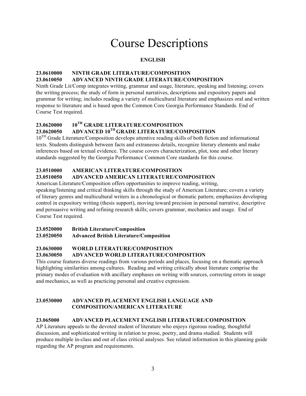# Course Descriptions

## **ENGLISH**

## **23.0610000 NINTH GRADE LITERATURE/COMPOSITION 23.0610050 ADVANCED NINTH GRADE LITERATURE/COMPOSITION**

Ninth Grade Lit/Comp integrates writing, grammar and usage, literature, speaking and listening; covers the writing process; the study of form in personal narratives, descriptions and expository papers and grammar for writing; includes reading a variety of multicultural literature and emphasizes oral and written response to literature and is based upon the Common Core Georgia Performance Standards. End of Course Test required.

## **23.0620000 10TH GRADE LITERATURE/COMPOSITION**

# **23.0620050 ADVANCED 10TH GRADE LITERATURE/COMPOSITION**

10<sup>TH</sup> Grade Literature/Composition develops attentive reading skills of both fiction and informational texts. Students distinguish between facts and extraneous details, recognize literary elements and make inferences based on textual evidence. The course covers characterization, plot, tone and other literary standards suggested by the Georgia Performance Common Core standards for this course.

## **23.0510000 AMERICAN LITERATURE/COMPOSITION**

## **23.0510050 ADVANCED AMERICAN LITERATURE/COMPOSITION**

American Literature/Composition offers opportunities to improve reading, writing,

speaking/listening and critical thinking skills through the study of American Literature; covers a variety of literary genres and multicultural writers in a chronological or thematic pattern; emphasizes developing control in expository writing (thesis support), moving toward precision in personal narrative, descriptive and persuasive writing and refining research skills; covers grammar, mechanics and usage. End of Course Test required.

## **23.0520000 British Literature/Composition**

## **23.0520050 Advanced British Literature/Composition**

## **23.0630000 WORLD LITERATURE/COMPOSITION**

## **23.0630050 ADVANCED WORLD LITERATURE/COMPOSITION**

This course features diverse readings from various periods and places, focusing on a thematic approach highlighting similarities among cultures. Reading and writing critically about literature comprise the primary modes of evaluation with ancillary emphases on writing with sources, correcting errors in usage and mechanics, as well as practicing personal and creative expression.

#### **23.0530000 ADVANCED PLACEMENT ENGLISH LANGUAGE AND COMPOSITION/AMERICAN LITERATURE**

#### **23.065000 ADVANCED PLACEMENT ENGLISH LITERATURE/COMPOSITION**

AP Literature appeals to the devoted student of literature who enjoys rigorous reading, thoughtful discussion, and sophisticated writing in relation to prose, poetry, and drama studied. Students will produce multiple in-class and out of class critical analyses. See related information in this planning guide regarding the AP program and requirements.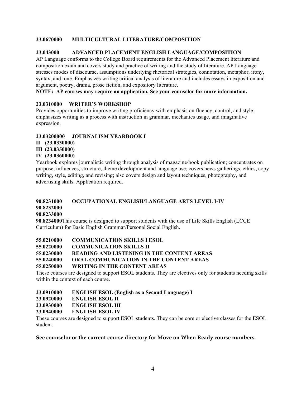#### **23.0670000 MULTICULTURAL LITERATURE/COMPOSITION**

#### **23.043000 ADVANCED PLACEMENT ENGLISH LANGUAGE/COMPOSITION**

AP Language conforms to the College Board requirements for the Advanced Placement literature and composition exam and covers study and practice of writing and the study of literature. AP Language stresses modes of discourse, assumptions underlying rhetorical strategies, connotation, metaphor, irony, syntax, and tone. Emphasizes writing critical analysis of literature and includes essays in exposition and argument, poetry, drama, prose fiction, and expository literature.

#### **NOTE: AP courses may require an application. See your counselor for more information.**

#### **23.0310000 WRITER'S WORKSHOP**

Provides opportunities to improve writing proficiency with emphasis on fluency, control, and style; emphasizes writing as a process with instruction in grammar, mechanics usage, and imaginative expression.

#### **23.03200000 JOURNALISM YEARBOOK I**

#### **II (23.0330000)**

## **III (23.0350000)**

#### **IV (23.0360000)**

Yearbook explores journalistic writing through analysis of magazine/book publication; concentrates on purpose, influences, structure, theme development and language use; covers news gatherings, ethics, copy writing, style, editing, and revising; also covers design and layout techniques, photography, and advertising skills. Application required.

#### **90.8231000 OCCUPATIONAL ENGLISH/LANGUAGE ARTS LEVEL I-IV**

#### **90.8232000**

#### **90.8233000**

**90.8234000**This course is designed to support students with the use of Life Skills English (LCCE Curriculum) for Basic English Grammar/Personal Social English.

| 55.0210000 | <b>COMMUNICATION SKILLS I ESOL</b> |
|------------|------------------------------------|
|            |                                    |

**55.0220000 COMMUNICATION SKILLS II**

**55.0230000 READING AND LISTENING IN THE CONTENT AREAS**

**55.0240000 ORAL COMMUNICATION IN THE CONTENT AREAS**

#### **55.0250000 WRITING IN THE CONTENT AREAS**

These courses are designed to support ESOL students. They are electives only for students needing skills within the context of each course.

#### **23.0910000 ENGLISH ESOL (English as a Second Language) I**

- **23.0920000 ENGLISH ESOL II**
- **23.0930000 ENGLISH ESOL III**
- **23.0940000 ENGLISH ESOL IV**

These courses are designed to support ESOL students. They can be core or elective classes for the ESOL student.

#### **See counselor or the current course directory for Move on When Ready course numbers.**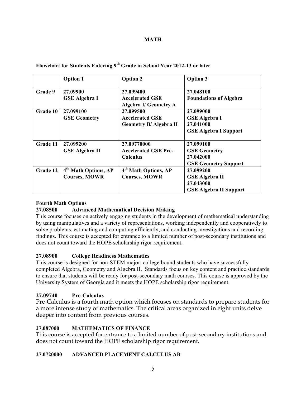#### **MATH**

|          | <b>Option 1</b>                  | <b>Option 2</b>                  | <b>Option 3</b>               |
|----------|----------------------------------|----------------------------------|-------------------------------|
| Grade 9  | 27.09900                         | 27.099400                        | 27.048100                     |
|          | <b>GSE Algebra I</b>             | <b>Accelerated GSE</b>           | <b>Foundations of Algebra</b> |
|          |                                  | <b>Algebra I/ Geometry A</b>     |                               |
| Grade 10 | 27.099100                        | 27.099500                        | 27.099000                     |
|          | <b>GSE Geometry</b>              | <b>Accelerated GSE</b>           | <b>GSE Algebra I</b>          |
|          |                                  | <b>Geometry B/ Algebra II</b>    | 27.041000                     |
|          |                                  |                                  | <b>GSE Algebra I Support</b>  |
|          |                                  |                                  |                               |
| Grade 11 | 27.099200                        | 27.09770000                      | 27.099100                     |
|          | <b>GSE Algebra II</b>            | <b>Accelerated GSE Pre-</b>      | <b>GSE Geometry</b>           |
|          |                                  | Calculus                         | 27.042000                     |
|          |                                  |                                  | <b>GSE Geometry Support</b>   |
| Grade 12 | 4 <sup>th</sup> Math Options, AP | 4 <sup>th</sup> Math Options, AP | 27.099200                     |
|          | <b>Courses, MOWR</b>             | <b>Courses, MOWR</b>             | <b>GSE Algebra II</b>         |
|          |                                  |                                  | 27.043000                     |
|          |                                  |                                  | <b>GSE Algebra II Support</b> |

#### **Flowchart for Students Entering 9th Grade in School Year 2012-13 or later**

#### **Fourth Math Options**

#### **27.08500 Advanced Mathematical Decision Making**

This course focuses on actively engaging students in the development of mathematical understanding by using manipulatives and a variety of representations, working independently and cooperatively to solve problems, estimating and computing efficiently, and conducting investigations and recording findings. This course is accepted for entrance to a limited number of post-secondary institutions and does not count toward the HOPE scholarship rigor requirement.

#### **27.08900 College Readiness Mathematics**

This course is designed for non-STEM major, college bound students who have successfully completed Algebra, Geometry and Algebra II. Standards focus on key content and practice standards to ensure that students will be ready for post-secondary math courses. This course is approved by the University System of Georgia and it meets the HOPE scholarship rigor requirement.

#### **27.09740 Pre-Calculus**

Pre-Calculus is a fourth math option which focuses on standards to prepare students for a more intense study of mathematics. The critical areas organized in eight units delve deeper into content from previous courses.

#### **27.087000 MATHEMATICS OF FINANCE**

This course is accepted for entrance to a limited number of post-secondary institutions and does not count toward the HOPE scholarship rigor requirement.

#### **27.0720000 ADVANCED PLACEMENT CALCULUS AB**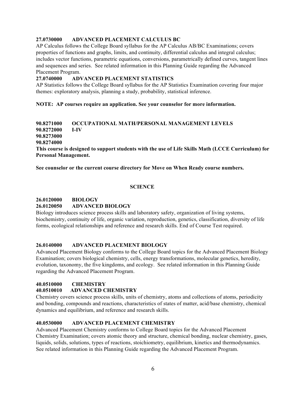#### **27.0730000 ADVANCED PLACEMENT CALCULUS BC**

AP Calculus follows the College Board syllabus for the AP Calculus AB/BC Examinations; covers properties of functions and graphs, limits, and continuity, differential calculus and integral calculus; includes vector functions, parametric equations, conversions, parametrically defined curves, tangent lines and sequences and series. See related information in this Planning Guide regarding the Advanced Placement Program.

#### **27.0740000 ADVANCED PLACEMENT STATISTICS**

AP Statistics follows the College Board syllabus for the AP Statistics Examination covering four major themes: exploratory analysis, planning a study, probability, statistical inference.

**NOTE: AP courses require an application. See your counselor for more information.**

**90.8271000 OCCUPATIONAL MATH/PERSONAL MANAGEMENT LEVELS 90.8272000 I-IV 90.8273000 90.8274000 This course is designed to support students with the use of Life Skills Math (LCCE Curriculum) for Personal Management.** 

**See counselor or the current course directory for Move on When Ready course numbers.**

#### **SCIENCE**

#### **26.0120000 BIOLOGY**

#### **26.0120050 ADVANCED BIOLOGY**

Biology introduces science process skills and laboratory safety, organization of living systems, biochemistry, continuity of life, organic variation, reproduction, genetics, classification, diversity of life forms, ecological relationships and reference and research skills. End of Course Test required.

#### **26.0140000 ADVANCED PLACEMENT BIOLOGY**

Advanced Placement Biology conforms to the College Board topics for the Advanced Placement Biology Examination; covers biological chemistry, cells, energy transformations, molecular genetics, heredity, evolution, taxonomy, the five kingdoms, and ecology. See related information in this Planning Guide regarding the Advanced Placement Program.

## **40.0510000 CHEMISTRY**

#### **40.0510010 ADVANCED CHEMISTRY**

Chemistry covers science process skills, units of chemistry, atoms and collections of atoms, periodicity and bonding, compounds and reactions, characteristics of states of matter, acid/base chemistry, chemical dynamics and equilibrium, and reference and research skills.

#### **40.0530000 ADVANCED PLACEMENT CHEMISTRY**

Advanced Placement Chemistry conforms to College Board topics for the Advanced Placement Chemistry Examination; covers atomic theory and structure, chemical bonding, nuclear chemistry, gases, liquids, solids, solutions, types of reactions, stoichiometry, equilibrium, kinetics and thermodynamics. See related information in this Planning Guide regarding the Advanced Placement Program.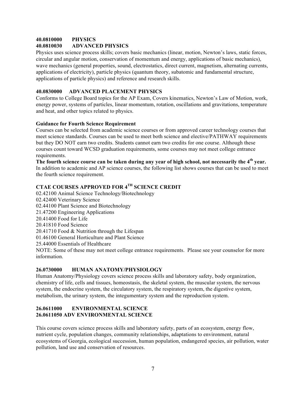#### **40.0810000 PHYSICS 40.0810030 ADVANCED PHYSICS**

Physics uses science process skills; covers basic mechanics (linear, motion, Newton's laws, static forces, circular and angular motion, conservation of momentum and energy, applications of basic mechanics), wave mechanics (general properties, sound, electrostatics, direct current, magnetism, alternating currents, applications of electricity), particle physics (quantum theory, subatomic and fundamental structure, applications of particle physics) and reference and research skills.

## **40.0830000 ADVANCED PLACEMENT PHYSICS**

Conforms to College Board topics for the AP Exam, Covers kinematics, Newton's Law of Motion, work, energy power, systems of particles, linear momentum, rotation, oscillations and gravitations, temperature and heat, and other topics related to physics.

#### **Guidance for Fourth Science Requirement**

Courses can be selected from academic science courses or from approved career technology courses that meet science standards. Courses can be used to meet both science and elective/PATHWAY requirements but they DO NOT earn two credits. Students cannot earn two credits for one course. Although these courses count toward WCSD graduation requirements, some courses may not meet college entrance requirements.

**The fourth science course can be taken during any year of high school, not necessarily the 4th year.** In addition to academic and AP science courses, the following list shows courses that can be used to meet the fourth science requirement.

## **CTAE COURSES APPROVED FOR 4TH SCIENCE CREDIT**

02.42100 Animal Science Technology/Biotechnology 02.42400 Veterinary Science 02.44100 Plant Science and Biotechnology 21.47200 Engineering Applications 20.41400 Food for Life 20.41810 Food Science 20.41710 Food & Nutrition through the Lifespan 01.46100 General Horticulture and Plant Science 25.44000 Essentials of Healthcare NOTE: Some of these may not meet college entrance requirements. Please see your counselor for more

## **26.0730000 HUMAN ANATOMY/PHYSIOLOGY**

information.

Human Anatomy/Physiology covers science process skills and laboratory safety, body organization, chemistry of life, cells and tissues, homeostasis, the skeletal system, the muscular system, the nervous system, the endocrine system, the circulatory system, the respiratory system, the digestive system, metabolism, the urinary system, the integumentary system and the reproduction system.

#### **26.0611000 ENVIRONMENTAL SCIENCE 26.0611050 ADV ENVIRONMENTAL SCIENCE**

This course covers science process skills and laboratory safety, parts of an ecosystem, energy flow, nutrient cycle, population changes, community relationships, adaptations to environment, natural ecosystems of Georgia, ecological succession, human population, endangered species, air pollution, water pollution, land use and conservation of resources.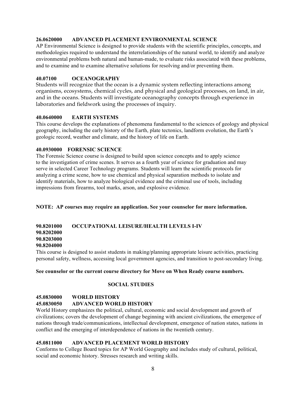#### **26.0620000 ADVANCED PLACEMENT ENVIRONMENTAL SCIENCE**

AP Environmental Science is designed to provide students with the scientific principles, concepts, and methodologies required to understand the interrelationships of the natural world, to identify and analyze environmental problems both natural and human-made, to evaluate risks associated with these problems, and to examine and to examine alternative solutions for resolving and/or preventing them.

#### **40.07100 OCEANOGRAPHY**

Students will recognize that the ocean is a dynamic system reflecting interactions among organisms, ecosystems, chemical cycles, and physical and geological processes, on land, in air, and in the oceans. Students will investigate oceanography concepts through experience in laboratories and fieldwork using the processes of inquiry.

#### **40.0640000 EARTH SYSTEMS**

This course develops the explanations of phenomena fundamental to the sciences of geology and physical geography, including the early history of the Earth, plate tectonics, landform evolution, the Earth's geologic record, weather and climate, and the history of life on Earth.

#### **40.0930000 FORENSIC SCIENCE**

The Forensic Science course is designed to build upon science concepts and to apply science to the investigation of crime scenes. It serves as a fourth year of science for graduation and may serve in selected Career Technology programs. Students will learn the scientific protocols for analyzing a crime scene, how to use chemical and physical separation methods to isolate and identify materials, how to analyze biological evidence and the criminal use of tools, including impressions from firearms, tool marks, arson, and explosive evidence.

**NOTE: AP courses may require an application. See your counselor for more information.**

## **90.8201000 OCCUPATIONAL LEISURE/HEALTH LEVELS I-IV**

**90.8202000 90.8203000**

#### **90.8204000**

This course is designed to assist students in making/planning appropriate leisure activities, practicing personal safety, wellness, accessing local government agencies, and transition to post-secondary living.

#### **See counselor or the current course directory for Move on When Ready course numbers.**

#### **SOCIAL STUDIES**

#### **45.0830000 WORLD HISTORY**

#### **45.0830050 ADVANCED WORLD HISTORY**

World History emphasizes the political, cultural, economic and social development and growth of civilizations; covers the development of change beginning with ancient civilizations, the emergence of nations through trade/communications, intellectual development, emergence of nation states, nations in conflict and the emerging of interdependence of nations in the twentieth century.

#### **45.0811000 ADVANCED PLACEMENT WORLD HISTORY**

Conforms to College Board topics for AP World Geography and includes study of cultural, political, social and economic history. Stresses research and writing skills.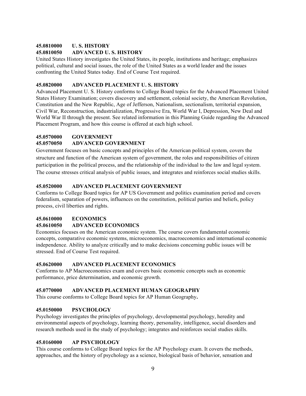#### **45.0810000 U. S. HISTORY**

#### **45.0810050 ADVANCED U. S. HISTORY**

United States History investigates the United States, its people, institutions and heritage; emphasizes political, cultural and social issues, the role of the United States as a world leader and the issues confronting the United States today. End of Course Test required.

#### **45.0820000 ADVANCED PLACEMENT U. S. HISTORY**

Advanced Placement U. S. History conforms to College Board topics for the Advanced Placement United States History Examination; covers discovery and settlement, colonial society, the American Revolution, Constitution and the New Republic, Age of Jefferson, Nationalism, sectionalism, territorial expansion, Civil War, Reconstruction, industrialization, Progressive Era, World War I, Depression, New Deal and World War II through the present. See related information in this Planning Guide regarding the Advanced Placement Program, and how this course is offered at each high school.

#### **45.0570000 GOVERNMENT**

#### **45.0570050 ADVANCED GOVERNMENT**

Government focuses on basic concepts and principles of the American political system, covers the structure and function of the American system of government, the roles and responsibilities of citizen participation in the political process, and the relationship of the individual to the law and legal system. The course stresses critical analysis of public issues, and integrates and reinforces social studies skills.

#### **45.0520000 ADVANCED PLACEMENT GOVERNMENT**

Conforms to College Board topics for AP US Government and politics examination period and covers federalism, separation of powers, influences on the constitution, political parties and beliefs, policy process, civil liberties and rights.

#### **45.0610000 ECONOMICS**

#### **45.0610050 ADVANCED ECONOMICS**

Economics focuses on the American economic system. The course covers fundamental economic concepts, comparative economic systems, microeconomics, macroeconomics and international economic independence. Ability to analyze critically and to make decisions concerning public issues will be stressed. End of Course Test required.

#### **45.0620000 ADVANCED PLACEMENT ECONOMICS**

Conforms to AP Macroeconomics exam and covers basic economic concepts such as economic performance, price determination, and economic growth.

#### **45.0770000 ADVANCED PLACEMENT HUMAN GEOGRAPHY**

This course conforms to College Board topics for AP Human Geography**.** 

#### **45.0150000 PSYCHOLOGY**

Psychology investigates the principles of psychology, developmental psychology, heredity and environmental aspects of psychology, learning theory, personality, intelligence, social disorders and research methods used in the study of psychology; integrates and reinforces social studies skills.

#### **45.0160000 AP PSYCHOLOGY**

This course conforms to College Board topics for the AP Psychology exam. It covers the methods, approaches, and the history of psychology as a science, biological basis of behavior, sensation and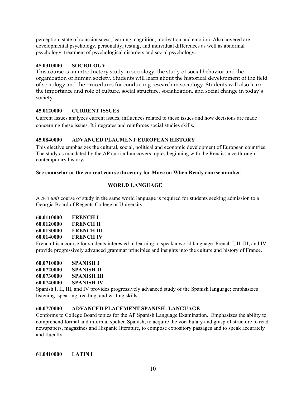perception, state of consciousness, learning, cognition, motivation and emotion. Also covered are developmental psychology, personality, testing, and individual differences as well as abnormal psychology, treatment of psychological disorders and social psychology**.** 

#### **45.0310000 SOCIOLOGY**

This course is an introductory study in sociology, the study of social behavior and the organization of human society. Students will learn about the historical development of the field of sociology and the procedures for conducting research in sociology. Students will also learn the importance and role of culture, social structure, socialization, and social change in today's society.

#### **45.0120000 CURRENT ISSUES**

Current Issues analyzes current issues, influences related to these issues and how decisions are made concerning these issues. It integrates and reinforces social studies skills**.** 

#### **45.0840000 ADVANCED PLACMENT EUROPEAN HISTORY**

This elective emphasizes the cultural, social, political and economic development of European countries. The study as mandated by the AP curriculum covers topics beginning with the Renaissance through contemporary history**.** 

#### **See counselor or the current course directory for Move on When Ready course number.**

#### **WORLD LANGUAGE**

A *two unit* course of study in the same world language is required for students seeking admission to a Georgia Board of Regents College or University.

| 60.0110000 | FRENCH I         |
|------------|------------------|
| 60.0120000 | <b>FRENCH II</b> |
| 60.0130000 | FRENCH III       |
| 60.0140000 | <b>FRENCH IV</b> |

French I is a course for students interested in learning to speak a world language. French I, II, III, and IV provide progressively advanced grammar principles and insights into the culture and history of France.

| 60.0710000 | SPANISH I         |
|------------|-------------------|
| 60.0720000 | SPANISH II        |
| 60.0730000 | SPANISH III       |
| 60.0740000 | <b>SPANISH IV</b> |

Spanish I, II, III, and IV provides progressively advanced study of the Spanish language; emphasizes listening, speaking, reading, and writing skills.

#### **60.0770000 ADVANCED PLACEMENT SPANISH: LANGUAGE**

Conforms to College Board topics for the AP Spanish Language Examination. Emphasizes the ability to comprehend formal and informal spoken Spanish, to acquire the vocabulary and grasp of structure to read newspapers, magazines and Hispanic literature, to compose expository passages and to speak accurately and fluently.

**61.0410000 LATIN I**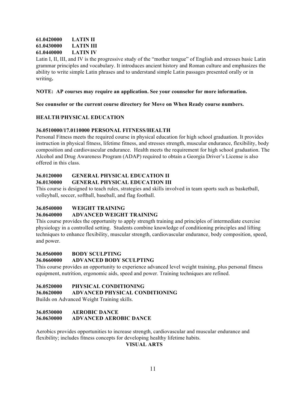## **61.0420000 LATIN II 61.0430000 LATIN III 61.0440000 LATIN IV**

Latin I, II, III, and IV is the progressive study of the "mother tongue" of English and stresses basic Latin grammar principles and vocabulary. It introduces ancient history and Roman culture and emphasizes the ability to write simple Latin phrases and to understand simple Latin passages presented orally or in writing**.** 

#### **NOTE: AP courses may require an application. See your counselor for more information.**

**See counselor or the current course directory for Move on When Ready course numbers.**

#### **HEALTH**/**PHYSICAL EDUCATION**

#### **36.0510000/17.0110000 PERSONAL FITNESS/HEALTH**

Personal Fitness meets the required course in physical education for high school graduation. It provides instruction in physical fitness, lifetime fitness, and stresses strength, muscular endurance, flexibility, body composition and cardiovascular endurance. Health meets the requirement for high school graduation. The Alcohol and Drug Awareness Program (ADAP) required to obtain a Georgia Driver's License is also offered in this class.

#### **36.0120000 GENERAL PHYSICAL EDUCATION II 36.0130000 GENERAL PHYSICAL EDUCATION III**

This course is designed to teach rules, strategies and skills involved in team sports such as basketball, volleyball, soccer, softball, baseball, and flag football.

#### **36.0540000 WEIGHT TRAINING**

#### **36.0640000 ADVANCED WEIGHT TRAINING**

This course provides the opportunity to apply strength training and principles of intermediate exercise physiology in a controlled setting. Students combine knowledge of conditioning principles and lifting techniques to enhance flexibility, muscular strength, cardiovascular endurance, body composition, speed, and power.

#### **36.0560000 BODY SCULPTING**

#### **36.0660000 ADVANCED BODY SCULPTING**

This course provides an opportunity to experience advanced level weight training, plus personal fitness equipment, nutrition, ergonomic aids, speed and power. Training techniques are refined.

#### **36.0520000 PHYSICAL CONDITIONING**

#### **36.0620000 ADVANCED PHYSICAL CONDITIONING**

Builds on Advanced Weight Training skills.

#### **36.0530000 AEROBIC DANCE 36.0630000 ADVANCED AEROBIC DANCE**

Aerobics provides opportunities to increase strength, cardiovascular and muscular endurance and flexibility; includes fitness concepts for developing healthy lifetime habits.

**VISUAL ARTS**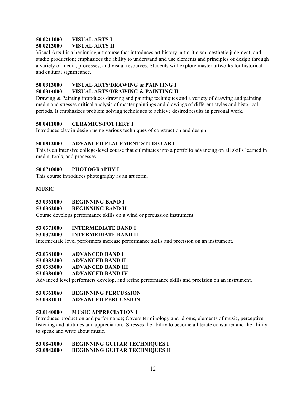#### **50.0211000 VISUAL ARTS I 50.0212000 VISUAL ARTS II**

Visual Arts I is a beginning art course that introduces art history, art criticism, aesthetic judgment, and studio production; emphasizes the ability to understand and use elements and principles of design through a variety of media, processes, and visual resources. Students will explore master artworks for historical and cultural significance.

# **50.0313000 VISUAL ARTS/DRAWING & PAINTING I**

## **50.0314000 VISUAL ARTS/DRAWING & PAINTING II**

Drawing & Painting introduces drawing and painting techniques and a variety of drawing and painting media and stresses critical analysis of master paintings and drawings of different styles and historical periods. It emphasizes problem solving techniques to achieve desired results in personal work.

## **50.0411000 CERAMICS/POTTERY I**

Introduces clay in design using various techniques of construction and design.

#### **50.0812000 ADVANCED PLACEMENT STUDIO ART**

This is an intensive college-level course that culminates into a portfolio advancing on all skills learned in media, tools, and processes.

## **50.0710000 PHOTOGRAPHY I**

This course introduces photography as an art form.

#### **MUSIC**

#### **53.0361000 BEGINNING BAND I**

#### **53.0362000 BEGINNING BAND II**

Course develops performance skills on a wind or percussion instrument.

#### **53.0371000 INTERMEDIATE BAND I**

#### **53.0372000 INTERMEDIATE BAND II**

Intermediate level performers increase performance skills and precision on an instrument.

## **53.0381000 ADVANCED BAND I**

- **53.0383200 ADVANCED BAND II**
- **53.0383000 ADVANCED BAND III**

#### **53.0384000 ADVANCED BAND IV**

Advanced level performers develop, and refine performance skills and precision on an instrument.

#### **53.0361060 BEGINNING PERCUSSION**

#### **53.0381041 ADVANCED PERCUSSION**

#### **53.0140000 MUSIC APPRECIATION I**

Introduces production and performance; Covers terminology and idioms, elements of music, perceptive listening and attitudes and appreciation. Stresses the ability to become a literate consumer and the ability to speak and write about music.

#### **53.0841000 BEGINNING GUITAR TECHNIQUES I 53.0842000 BEGINNING GUITAR TECHNIQUES II**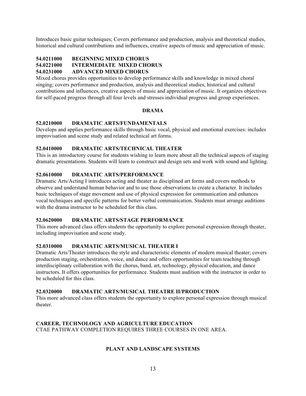Introduces basic guitar techniques; Covers performance and production, analysis and theoretical studies, historical and cultural contributions and influences, creative aspects of music and appreciation of music.

## **54.0211000 BEGINNING MIXED CHORUS**

## **54.0221000 INTERMEDIATE MIXED CHORUS**

#### **54.0231000 ADVANCED MIXED CHORUS**

Mixed chorus provides opportunities to develop performance skills and knowledge in mixed choral singing; covers performance and production, analysis and theoretical studies, historical and cultural contributions and influences, creative aspects of music and appreciation of music. It organizes objectives for self-paced progress through all four levels and stresses individual progress and group experiences.

#### **DRAMA**

#### **52.0210000 DRAMATIC ARTS/FUNDAMENTALS**

Develops and applies performance skills through basic vocal, physical and emotional exercises: includes improvisation and scene study and related technical art forms.

## **52.0410000 DRAMATIC ARTS/TECHNICAL THEATER**

This is an introductory course for students wishing to learn more about all the technical aspects of staging dramatic presentations. Students will learn to construct and design sets and work with sound and lighting.

#### **52.0610000 DRAMATIC ARTS/PERFORMANCE**

Dramatic Arts/Acting I introduces acting and theater as disciplined art forms and covers methods to observe and understand human behavior and to use those observations to create a character. It includes basic techniques of stage movement and use of physical expression for communication and enhances vocal techniques and specific patterns for better verbal communication. Students must arrange auditions with the drama instructor to be scheduled for this class.

#### **52.0620000 DRAMATIC ARTS/STAGE PERFORMANCE**

This more advanced class offers students the opportunity to explore personal expression through theater, including improvisation and scene study.

#### **52.0310000 DRAMATIC ARTS/MUSICAL THEATER I**

Dramatic Arts/Theater introduces the style and characteristic elements of modern musical theater; covers production staging, orchestration, voice, and dance and offers opportunities for team teaching through interdisciplinary collaboration with the chorus, band, art, technology, physical education, and dance instructors. It offers opportunities for performance. Students must audition with the instructor in order to be scheduled for this class.

#### **52.0320000 DRAMATIC ARTS/MUSICAL THEATRE II/PRODUCTION**

This more advanced class offers students the opportunity to explore personal expression through musical theater.

#### **CAREER, TECHNOLOGY AND AGRICULTURE EDUCATION** CTAE PATHWAY COMPLETION REQUIRES THREE COURSES IN ONE AREA.

#### **PLANT AND LANDSCAPE SYSTEMS**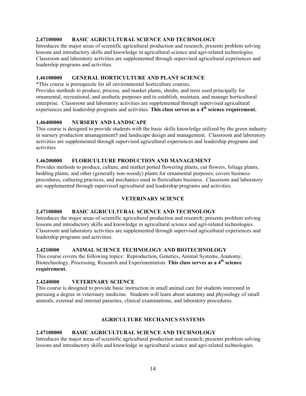## **2.47100000 BASIC AGRICULTURAL SCIENCE AND TECHNOLOGY**

Introduces the major areas of scientific agricultural production and research; presents problem solving lessons and introductory skills and knowledge in agricultural science and agri-related technologies. Classroom and laboratory activities are supplemented through supervised agricultural experiences and leadership programs and activities.

#### **1.46100000 GENERAL HORTICULTURE AND PLANT SCIENCE**

\*This course is prerequisite for all environmental horticulture courses.

Provides methods to produce, process, and market plants, shrubs, and trees used principally for ornamental, recreational, and aesthetic purposes and to establish, maintain, and manage horticultural enterprise. Classroom and laboratory activities are supplemented through supervised agricultural experiences and leadership programs and activities. **This class serves as a 4th science requirement.**

#### **1.46400000 NURSERY AND LANDSCAPE**

This course is designed to provide students with the basic skills knowledge utilized by the green industry in nursery production amanagement5 and landscape design and management. Classroom and laboratory activities are supplemented through supervised agricultural experiences and leadership programs and activities

#### **1.46200000 FLORICULTURE PRODUCTION AND MANAGEMENT**

Provides methods to produce, culture, and market potted flowering plants, cut flowers, foliage plants, bedding plants, and other (generally non-woody) plants for ornamental purposes; covers business procedures, culturing practices, and mechanics used in floriculture business. Classroom and laboratory are supplemented through supervised agricultural and leadership programs and activities.

#### **VETERINARY SCIENCE**

#### **2.47100000 BASIC AGRICULTURAL SCIENCE AND TECHNOLOGY**

Introduces the major areas of scientific agricultural production and research; presents problem solving lessons and introductory skills and knowledge in agricultural science and agri-related technologies. Classroom and laboratory activities are supplemented through supervised agricultural experiences and leadership programs and activities.

#### **2.4210000 ANIMAL SCIENCE TECHNOLOGY AND BIOTECHNOLOGY**

This course covers the following topics: Reproduction, Genetics, Animal Systems, Anatomy, Biotechnology, Processing, Research and Experimentation. **This class serves as a 4th science requirement.**

#### **2.4240000 VETERINARY SCIENCE**

This course is designed to provide basic instruction in small animal care for students interested in pursuing a degree in veterinary medicine. Students will learn about anatomy and physiology of small animals, external and internal parasites, clinical examinations, and laboratory procedures.

#### **AGRICULTURE MECHANICS SYSTEMS**

#### **2.47100000 BASIC AGRICULTURAL SCIENCE AND TECHNOLOGY**

Introduces the major areas of scientific agricultural production and research; presents problem solving lessons and introductory skills and knowledge in agricultural science and agri-related technologies.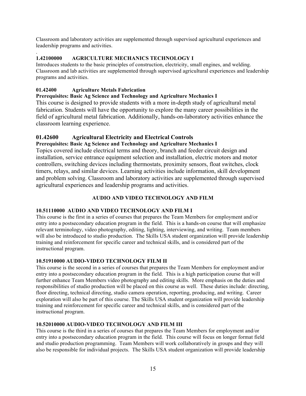Classroom and laboratory activities are supplemented through supervised agricultural experiences and leadership programs and activities.

#### . **1.42100000 AGRICULTURE MECHANICS TECHNOLOGY I**

Introduces students to the basic principles of construction, electricity, small engines, and welding. Classroom and lab activities are supplemented through supervised agricultural experiences and leadership programs and activities.

## **01.42400 Agriculture Metals Fabrication**

## **Prerequisites: Basic Ag Science and Technology and Agriculture Mechanics I**

This course is designed to provide students with a more in-depth study of agricultural metal fabrication. Students will have the opportunity to explore the many career possibilities in the field of agricultural metal fabrication. Additionally, hands-on-laboratory activities enhance the classroom learning experience.

## **01.42600 Agricultural Electricity and Electrical Controls**

## **Prerequisites: Basic Ag Science and Technology and Agriculture Mechanics I**

Topics covered include electrical terms and theory, branch and feeder circuit design and installation, service entrance equipment selection and installation, electric motors and motor controllers, switching devices including thermostats, proximity sensors, float switches, clock timers, relays, and similar devices. Learning activities include information, skill development and problem solving. Classroom and laboratory activities are supplemented through supervised agricultural experiences and leadership programs and activities.

## **AUDIO AND VIDEO TECHNOLOGY AND FILM**

## **10.51110000 AUDIO AND VIDEO TECHNOLOGY AND FILM I**

This course is the first in a series of courses that prepares the Team Members for employment and/or entry into a postsecondary education program in the field. This is a hands-on course that will emphasize relevant terminology, video photography, editing, lighting, interviewing, and writing. Team members will also be introduced to studio production. The Skills USA student organization will provide leadership training and reinforcement for specific career and technical skills, and is considered part of the instructional program.

## **10.51910000 AUDIO-VIDEO TECHNOLOGY FILM II**

This course is the second in a series of courses that prepares the Team Members for employment and/or entry into a postsecondary education program in the field. This is a high participation course that will further enhance Team Members video photography and editing skills. More emphasis on the duties and responsibilities of studio production will be placed on this course as well. These duties include: directing, floor directing, technical directing, studio camera operation, reporting, producing, and writing. Career exploration will also be part of this course. The Skills USA student organization will provide leadership training and reinforcement for specific career and technical skills, and is considered part of the instructional program.

## **10.52010000 AUDIO-VIDEO TECHNOLOGY AND FILM III**

This course is the third in a series of courses that prepares the Team Members for employment and/or entry into a postsecondary education program in the field. This course will focus on longer format field and studio production programming. Team Members will work collaboratively in groups and they will also be responsible for individual projects. The Skills USA student organization will provide leadership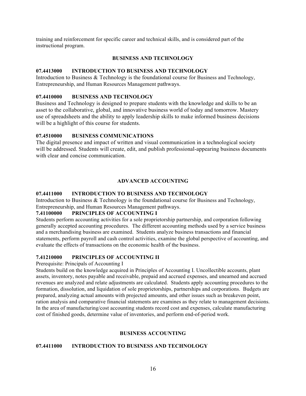training and reinforcement for specific career and technical skills, and is considered part of the instructional program.

#### **BUSINESS AND TECHNOLOGY**

#### **07.4413000 INTRODUCTION TO BUSINESS AND TECHNOLOGY**

Introduction to Business & Technology is the foundational course for Business and Technology, Entrepreneurship, and Human Resources Management pathways.

#### **07.4410000 BUSINESS AND TECHNOLOGY**

Business and Technology is designed to prepare students with the knowledge and skills to be an asset to the collaborative, global, and innovative business world of today and tomorrow. Mastery use of spreadsheets and the ability to apply leadership skills to make informed business decisions will be a highlight of this course for students.

#### **07.4510000 BUSINESS COMMUNICATIONS**

The digital presence and impact of written and visual communication in a technological society will be addressed. Students will create, edit, and publish professional-appearing business documents with clear and concise communication.

#### **ADVANCED ACCOUNTING**

#### **07.4411000 INTRODUCTION TO BUSINESS AND TECHNOLOGY**

Introduction to Business & Technology is the foundational course for Business and Technology, Entrepreneurship, and Human Resources Management pathways.

#### **7.41100000 PRINCIPLES OF ACCOUNTING I**

Students perform accounting activities for a sole proprietorship partnership, and corporation following generally accepted accounting procedures. The different accounting methods used by a service business and a merchandising business are examined. Students analyze business transactions and financial statements, perform payroll and cash control activities, examine the global perspective of accounting, and evaluate the effects of transactions on the economic health of the business.

#### **7.41210000 PRINCIPLES OF ACCOUNTING II**

Prerequisite: Principals of Accounting I

Students build on the knowledge acquired in Principles of Accounting I. Uncollectible accounts, plant assets, inventory, notes payable and receivable, prepaid and accrued expenses, and unearned and accrued revenues are analyzed and relate adjustments are calculated. Students apply accounting procedures to the formation, dissolution, and liquidation of sole proprietorships, partnerships and corporations. Budgets are prepared, analyzing actual amounts with projected amounts, and other issues such as breakeven point, ration analysis and comparative financial statements are examines as they relate to management decisions. In the area of manufacturing/cost accounting students record cost and expenses, calculate manufacturing cost of finished goods, determine value of inventories, and perform end-of-period work.

#### **BUSINESS ACCOUNTING**

#### **07.4411000 INTRODUCTION TO BUSINESS AND TECHNOLOGY**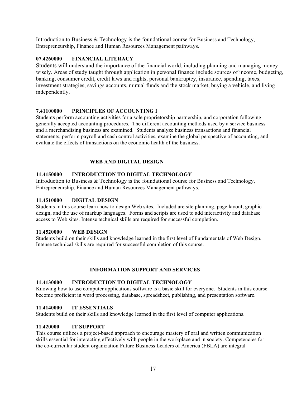Introduction to Business & Technology is the foundational course for Business and Technology, Entrepreneurship, Finance and Human Resources Management pathways.

#### **07.4260000 FINANCIAL LITERACY**

Students will understand the importance of the financial world, including planning and managing money wisely. Areas of study taught through application in personal finance include sources of income, budgeting, banking, consumer credit, credit laws and rights, personal bankruptcy, insurance, spending, taxes, investment strategies, savings accounts, mutual funds and the stock market, buying a vehicle, and living independently.

#### **7.41100000 PRINCIPLES OF ACCOUNTING I**

Students perform accounting activities for a sole proprietorship partnership, and corporation following generally accepted accounting procedures. The different accounting methods used by a service business and a merchandising business are examined. Students analyze business transactions and financial statements, perform payroll and cash control activities, examine the global perspective of accounting, and evaluate the effects of transactions on the economic health of the business.

#### **WEB AND DIGITAL DESIGN**

#### **11.4150000 INTRODUCTION TO DIGITAL TECHNOLOGY**

Introduction to Business & Technology is the foundational course for Business and Technology, Entrepreneurship, Finance and Human Resources Management pathways.

#### **11.4510000 DIGITAL DESIGN**

Students in this course learn how to design Web sites. Included are site planning, page layout, graphic design, and the use of markup languages. Forms and scripts are used to add interactivity and database access to Web sites. Intense technical skills are required for successful completion.

#### **11.4520000 WEB DESIGN**

Students build on their skills and knowledge learned in the first level of Fundamentals of Web Design. Intense technical skills are required for successful completion of this course.

#### **INFORMATION SUPPORT AND SERVICES**

#### **11.4130000 INTRODUCTION TO DIGITAL TECHNOLOGY**

Knowing how to use computer applications software is a basic skill for everyone. Students in this course become proficient in word processing, database, spreadsheet, publishing, and presentation software.

#### **11.4140000 IT ESSENTIALS**

Students build on their skills and knowledge learned in the first level of computer applications.

#### **11.420000 IT SUPPORT**

This course utilizes a project-based approach to encourage mastery of oral and written communication skills essential for interacting effectively with people in the workplace and in society. Competencies for the co-curricular student organization Future Business Leaders of America (FBLA) are integral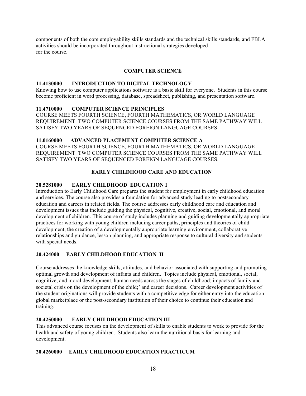components of both the core employability skills standards and the technical skills standards, and FBLA activities should be incorporated throughout instructional strategies developed for the course.

#### **COMPUTER SCIENCE**

#### **11.4130000 INTRODUCTION TO DIGITAL TECHNOLOGY**

Knowing how to use computer applications software is a basic skill for everyone. Students in this course become proficient in word processing, database, spreadsheet, publishing, and presentation software.

#### **11.4710000 COMPUTER SCIENCE PRINCIPLES**

COURSE MEETS FOURTH SCIENCE, FOURTH MATHEMATICS, OR WORLD LANGUAGE REQUIREMENT. TWO COMPUTER SCIENCE COURSES FROM THE SAME PATHWAY WILL SATISFY TWO YEARS OF SEQUENCED FOREIGN LANGUAGE COURSES.

#### **11.0160000 ADVANCED PLACEMENT COMPUTER SCIENCE A**

COURSE MEETS FOURTH SCIENCE, FOURTH MATHEMATICS, OR WORLD LANGUAGE REQUIREMENT. TWO COMPUTER SCIENCE COURSES FROM THE SAME PATHWAY WILL SATISFY TWO YEARS OF SEQUENCED FOREIGN LANGUAGE COURSES.

## **EARLY CHILDHOOD CARE AND EDUCATION**

#### **20.5281000 EARLY CHILDHOOD EDUCATION I**

Introduction to Early Childhood Care prepares the student for employment in early childhood education and services. The course also provides a foundation for advanced study leading to postsecondary education and careers in related fields. The course addresses early childhood care and education and development issues that include guiding the physical, cognitive, creative, social, emotional, and moral development of children. This course of study includes planning and guiding developmentally appropriate practices for working with young children including career paths, principles and theories of child development, the creation of a developmentally appropriate learning environment, collaborative relationships and guidance, lesson planning, and appropriate response to cultural diversity and students with special needs.

#### **20.424000 EARLY CHILDHOOD EDUCATION II**

Course addresses the knowledge skills, attitudes, and behavior associated with supporting and promoting optimal growth and development of infants and children. Topics include physical, emotional, social, cognitive, and moral development, human needs across the stages of childhood; impacts of family and societal crisis on the development of the child;' and career decisions. Career development activities of the student originations will provide students with a competitive edge for either entry into the education global marketplace or the post-secondary institution of their choice to continue their education and training.

#### **20.4250000 EARLY CHILDHOOD EDUCATION III**

This advanced course focuses on the development of skills to enable students to work to provide for the health and safety of young children. Students also learn the nutritional basis for learning and development.

#### **20.4260000 EARLY CHILDHOOD EDUCATION PRACTICUM**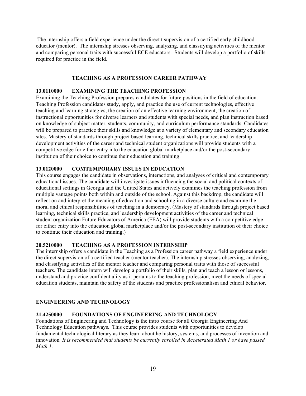The internship offers a field experience under the direct t supervision of a certified early childhood educator (mentor). The internship stresses observing, analyzing, and classifying activities of the mentor and comparing personal traits with successful ECE educators. Students will develop a portfolio of skills required for practice in the field.

#### **TEACHING AS A PROFESSION CAREER PATHWAY**

#### **13.0110000 EXAMINING THE TEACHING PROFESSION**

Examining the Teaching Profession prepares candidates for future positions in the field of education. Teaching Profession candidates study, apply, and practice the use of current technologies, effective teaching and learning strategies, the creation of an effective learning environment, the creation of instructional opportunities for diverse learners and students with special needs, and plan instruction based on knowledge of subject matter, students, community, and curriculum performance standards. Candidates will be prepared to practice their skills and knowledge at a variety of elementary and secondary education sites. Mastery of standards through project based learning, technical skills practice, and leadership development activities of the career and technical student organizations will provide students with a competitive edge for either entry into the education global marketplace and/or the post-secondary institution of their choice to continue their education and training.

#### **13.0120000 COMTEMPORARY ISSUES IN EDUCATION**

This course engages the candidate in observations, interactions, and analyses of critical and contemporary educational issues. The candidate will investigate issues influencing the social and political contexts of educational settings in Georgia and the United States and actively examines the teaching profession from multiple vantage points both within and outside of the school. Against this backdrop, the candidate will reflect on and interpret the meaning of education and schooling in a diverse culture and examine the moral and ethical responsibilities of teaching in a democracy. (Mastery of standards through project based learning, technical skills practice, and leadership development activities of the career and technical student organization Future Educators of America (FEA) will provide students with a competitive edge for either entry into the education global marketplace and/or the post-secondary institution of their choice to continue their education and training.)

#### **20.5210000 TEACHING AS A PROFESSION INTERNSHIP**

The internship offers a candidate in the Teaching as a Profession career pathway a field experience under the direct supervision of a certified teacher (mentor teacher). The internship stresses observing, analyzing, and classifying activities of the mentor teacher and comparing personal traits with those of successful teachers. The candidate intern will develop a portfolio of their skills, plan and teach a lesson or lessons, understand and practice confidentiality as it pertains to the teaching profession, meet the needs of special education students, maintain the safety of the students and practice professionalism and ethical behavior.

#### **ENGINEERING AND TECHNOLOGY**

#### **21.4250000 FOUNDATIONS OF ENGINEERING AND TECHNOLOGY**

Foundations of Engineering and Technology is the intro course for all Georgia Engineering And Technology Education pathways. This course provides students with opportunities to develop fundamental technological literary as they learn about he history, systems, and processes of invention and innovation*. It is recommended that students be currently enrolled in Accelerated Math 1 or have passed Math 1.*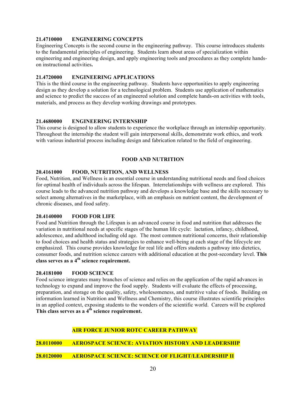#### **21.4710000 ENGINEERING CONCEPTS**

Engineering Concepts is the second course in the engineering pathway. This course introduces students to the fundamental principles of engineering. Students learn about areas of specialization within engineering and engineering design, and apply engineering tools and procedures as they complete handson instructional activities**.**

#### **21.4720000 ENGINEERING APPLICATIONS**

This is the third course in the engineering pathway. Students have opportunities to apply engineering design as they develop a solution for a technological problem. Students use application of mathematics and science to predict the success of an engineered solution and complete hands-on activities with tools, materials, and process as they develop working drawings and prototypes.

#### **21.4680000 ENGINEERING INTERNSHIP**

This course is designed to allow students to experience the workplace through an internship opportunity. Throughout the internship the student will gain interpersonal skills, demonstrate work ethics, and work with various industrial process including design and fabrication related to the field of engineering.

#### **FOOD AND NUTRITION**

#### **20.4161000 FOOD, NUTRITION, AND WELLNESS**

Food, Nutrition, and Wellness is an essential course in understanding nutritional needs and food choices for optimal health of individuals across the lifespan. Interrelationships with wellness are explored. This course leads to the advanced nutrition pathway and develops a knowledge base and the skills necessary to select among alternatives in the marketplace, with an emphasis on nutrient content, the development of chronic diseases, and food safety.

#### **20.4140000 FOOD FOR LIFE**

Food and Nutrition through the Lifespan is an advanced course in food and nutrition that addresses the variation in nutritional needs at specific stages of the human life cycle: lactation, infancy, childhood, adolescence, and adulthood including old age. The most common nutritional concerns, their relationship to food choices and health status and strategies to enhance well-being at each stage of the lifecycle are emphasized. This course provides knowledge for real life and offers students a pathway into dietetics, consumer foods, and nutrition science careers with additional education at the post-secondary level. **This class serves as a 4th science requirement.**

#### **20.4181000 FOOD SCIENCE**

Food science integrates many branches of science and relies on the application of the rapid advances in technology to expand and improve the food supply. Students will evaluate the effects of processing, preparation, and storage on the quality, safety, wholesomeness, and nutritive value of foods. Building on information learned in Nutrition and Wellness and Chemistry, this course illustrates scientific principles in an applied context, exposing students to the wonders of the scientific world. Careers will be explored **This class serves as a 4th science requirement.**

## **AIR FORCE JUNIOR ROTC CAREER PATHWAY**

**28.0110000 AEROSPACE SCIENCE: AVIATION HISTORY AND LEADERSHIP**

#### **28.0120000 AEROSPACE SCIENCE: SCIENCE OF FLIGHT/LEADERSHIP II**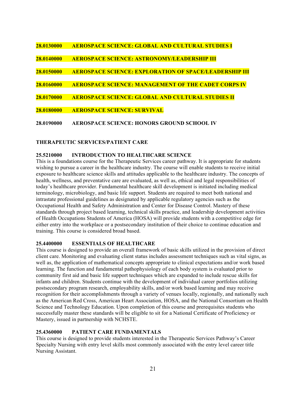| 28.0130000 | <b>AEROSPACE SCIENCE: GLOBAL AND CULTURAL STUDIES I</b>       |
|------------|---------------------------------------------------------------|
| 28.0140000 | <b>AEROSPACE SCIENCE: ASTRONOMY/LEADERSHIP III</b>            |
| 28.0150000 | <b>AEROSPACE SCIENCE: EXPLORATION OF SPACE/LEADERSHIP III</b> |
| 28.0160000 | <b>AEROSPACE SCIENCE: MANAGEMENT OF THE CADET CORPS IV</b>    |
| 28.0170000 | <b>AEROSPACE SCIENCE: GLOBAL AND CULTURAL STUDIES II</b>      |
| 28.0180000 | <b>AEROSPACE SCIENCE: SURVIVAL</b>                            |
| 28.0190000 | AEROSPACE SCIENCE: HONORS GROUND SCHOOL IV                    |

#### **THERAPEUTIC SERVICES/PATIENT CARE**

#### **25.5210000 INTRODUCTION TO HEALTHCARE SCIENCE**

This is a foundations course for the Therapeutic Services career pathway. It is appropriate for students wishing to pursue a career in the healthcare industry. The course will enable students to receive initial exposure to healthcare science skills and attitudes applicable to the healthcare industry. The concepts of health, wellness, and preventative care are evaluated, as well as, ethical and legal responsibilities of today's healthcare provider. Fundamental healthcare skill development is initiated including medical terminology, microbiology, and basic life support. Students are required to meet both national and intrastate professional guidelines as designated by applicable regulatory agencies such as the Occupational Health and Safety Administration and Center for Disease Control. Mastery of these standards through project based learning, technical skills practice, and leadership development activities of Health Occupations Students of America (HOSA) will provide students with a competitive edge for either entry into the workplace or a postsecondary institution of their choice to continue education and training. This course is considered broad based.

#### **25.4400000 ESSENTIALS OF HEALTHCARE**

This course is designed to provide an overall framework of basic skills utilized in the provision of direct client care. Monitoring and evaluating client status includes assessment techniques such as vital signs, as well as, the application of mathematical concepts appropriate to clinical expectations and/or work based learning. The function and fundamental pathophysiology of each body system is evaluated prior to community first aid and basic life support techniques which are expanded to include rescue skills for infants and children. Students continue with the development of individual career portfolios utilizing postsecondary program research, employability skills, and/or work based learning and may receive recognition for their accomplishments through a variety of venues locally, regionally, and nationally such as the American Red Cross, American Heart Association, HOSA, and the National Consortium on Health Science and Technology Education. Upon completion of this course and prerequisites students who successfully master these standards will be eligible to sit for a National Certificate of Proficiency or Mastery, issued in partnership with NCHSTE.

#### **25.4360000 PATIENT CARE FUNDAMENTALS**

This course is designed to provide students interested in the Therapeutic Services Pathway's Career Specialty Nursing with entry level skills most commonly associated with the entry level career title Nursing Assistant.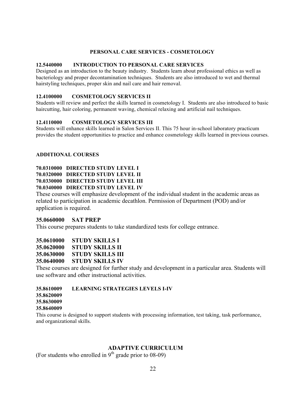#### **PERSONAL CARE SERVICES - COSMETOLOGY**

#### **12.5440000 INTRODUCTION TO PERSONAL CARE SERVICES**

Designed as an introduction to the beauty industry. Students learn about professional ethics as well as bacteriology and proper decontamination techniques. Students are also introduced to wet and thermal hairstyling techniques, proper skin and nail care and hair removal.

#### **12.4100000 COSMETOLOGY SERVICES II**

Students will review and perfect the skills learned in cosmetology I. Students are also introduced to basic haircutting, hair coloring, permanent waving, chemical relaxing and artificial nail techniques.

#### **12.4110000 COSMETOLOGY SERVICES III**

Students will enhance skills learned in Salon Services II. This 75 hour in-school laboratory practicum provides the student opportunities to practice and enhance cosmetology skills learned in previous courses.

#### **ADDITIONAL COURSES**

## **70.0310000 DIRECTED STUDY LEVEL I 70.0320000 DIRECTED STUDY LEVEL II 70.0330000 DIRECTED STUDY LEVEL III 70.0340000 DIRECTED STUDY LEVEL IV**

These courses will emphasize development of the individual student in the academic areas as related to participation in academic decathlon. Permission of Department (POD) and/or application is required.

#### **35.0660000 SAT PREP**

This course prepares students to take standardized tests for college entrance.

**35.0610000 STUDY SKILLS I**

**35.0620000 STUDY SKILLS II**

**35.0630000 STUDY SKILLS III**

**35.0640000 STUDY SKILLS IV**

These courses are designed for further study and development in a particular area. Students will use software and other instructional activities.

## **35.8610009 LEARNING STRATEGIES LEVELS I-IV**

**35.8620009 35.8630009**

#### **35.8640009**

This course is designed to support students with processing information, test taking, task performance, and organizational skills.

## **ADAPTIVE CURRICULUM**

(For students who enrolled in  $9<sup>th</sup>$  grade prior to 08-09)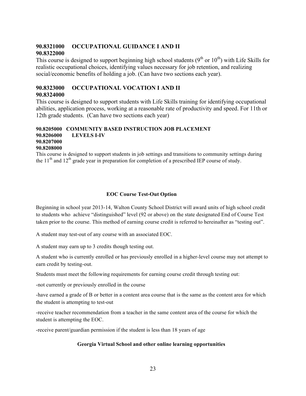## **90.8321000 OCCUPATIONAL GUIDANCE I AND II 90.8322000**

This course is designed to support beginning high school students  $(9^{th}$  or  $10^{th})$  with Life Skills for realistic occupational choices, identifying values necessary for job retention, and realizing social/economic benefits of holding a job. (Can have two sections each year).

# **90.8323000 OCCUPATIONAL VOCATION I AND II**

## **90.8324000**

This course is designed to support students with Life Skills training for identifying occupational abilities, application process, working at a reasonable rate of productivity and speed. For 11th or 12th grade students. (Can have two sections each year)

#### **90.8205000 COMMUNITY BASED INSTRUCTION JOB PLACEMENT 90.8206000 LEVELS I-IV 90.8207000 90.8208000**

This course is designed to support students in job settings and transitions to community settings during the  $11<sup>th</sup>$  and  $12<sup>th</sup>$  grade year in preparation for completion of a prescribed IEP course of study.

## **EOC Course Test-Out Option**

Beginning in school year 2013-14, Walton County School District will award units of high school credit to students who achieve "distinguished" level (92 or above) on the state designated End of Course Test taken prior to the course. This method of earning course credit is referred to hereinafter as "testing out".

A student may test-out of any course with an associated EOC.

A student may earn up to 3 credits though testing out.

A student who is currently enrolled or has previously enrolled in a higher-level course may not attempt to earn credit by testing-out.

Students must meet the following requirements for earning course credit through testing out:

-not currently or previously enrolled in the course

-have earned a grade of B or better in a content area course that is the same as the content area for which the student is attempting to test-out

-receive teacher recommendation from a teacher in the same content area of the course for which the student is attempting the EOC.

-receive parent/guardian permission if the student is less than 18 years of age

## **Georgia Virtual School and other online learning opportunities**